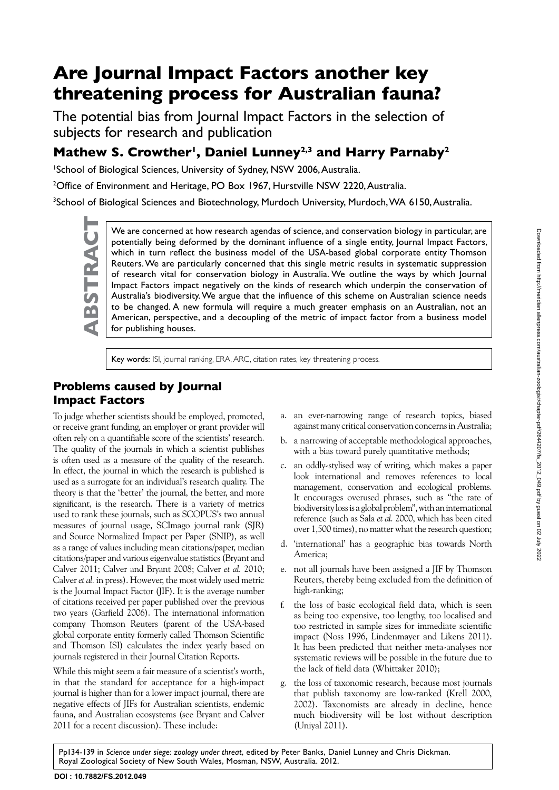# **Are Journal Impact Factors another key threatening process for Australian fauna?**

The potential bias from Journal Impact Factors in the selection of subjects for research and publication

# Mathew S. Crowther<sup>1</sup>, Daniel Lunney<sup>2,3</sup> and Harry Parnaby<sup>2</sup>

1 School of Biological Sciences, University of Sydney, NSW 2006, Australia.

<sup>2</sup>Office of Environment and Heritage, PO Box 1967, Hurstville NSW 2220, Australia.

<sup>3</sup>School of Biological Sciences and Biotechnology, Murdoch University, Murdoch, WA 6150, Australia.

We are concerned at how research agendas of science, and conservation biology in particular, are potentially being deformed by the dominant influence of a single entity, Journal Impact Factors, which in turn reflect the bu potentially being deformed by the dominant influence of a single entity, Journal Impact Factors, which in turn reflect the business model of the USA-based global corporate entity Thomson Reuters. We are particularly concerned that this single metric results in systematic suppression of research vital for conservation biology in Australia. We outline the ways by which Journal Impact Factors impact negatively on the kinds of research which underpin the conservation of Australia's biodiversity. We argue that the influence of this scheme on Australian science needs to be changed. A new formula will require a much greater emphasis on an Australian, not an American, perspective, and a decoupling of the metric of impact factor from a business model for publishing houses.

Key words: ISI, journal ranking, ERA, ARC, citation rates, key threatening process.

# **Problems caused by Journal Impact Factors**

To judge whether scientists should be employed, promoted, or receive grant funding, an employer or grant provider will often rely on a quantifiable score of the scientists' research. The quality of the journals in which a scientist publishes is often used as a measure of the quality of the research. In effect, the journal in which the research is published is used as a surrogate for an individual's research quality. The theory is that the 'better' the journal, the better, and more significant, is the research. There is a variety of metrics used to rank these journals, such as SCOPUS's two annual measures of journal usage, SCImago journal rank (SJR) and Source Normalized Impact per Paper (SNIP), as well as a range of values including mean citations/paper, median citations/paper and various eigenvalue statistics (Bryant and Calver 2011; Calver and Bryant 2008; Calver *et al.* 2010; Calver *et al.* in press). However, the most widely used metric is the Journal Impact Factor (JIF). It is the average number of citations received per paper published over the previous two years (Garfield 2006). The international information company Thomson Reuters (parent of the USA-based global corporate entity formerly called Thomson Scientific and Thomson ISI) calculates the index yearly based on journals registered in their Journal Citation Reports.

While this might seem a fair measure of a scientist's worth, in that the standard for acceptance for a high-impact journal is higher than for a lower impact journal, there are negative effects of JIFs for Australian scientists, endemic fauna, and Australian ecosystems (see Bryant and Calver 2011 for a recent discussion). These include:

- a. an ever-narrowing range of research topics, biased against many critical conservation concerns in Australia;
- b. a narrowing of acceptable methodological approaches, with a bias toward purely quantitative methods;
- c. an oddly-stylised way of writing, which makes a paper look international and removes references to local management, conservation and ecological problems. It encourages overused phrases, such as "the rate of biodiversity loss is a global problem", with an international reference (such as Sala *et al.* 2000, which has been cited over 1,500 times), no matter what the research question;
- d. 'international' has a geographic bias towards North America;
- e. not all journals have been assigned a JIF by Thomson Reuters, thereby being excluded from the definition of high-ranking;
- f. the loss of basic ecological field data, which is seen as being too expensive, too lengthy, too localised and too restricted in sample sizes for immediate scientific impact (Noss 1996, Lindenmayer and Likens 2011). It has been predicted that neither meta-analyses nor systematic reviews will be possible in the future due to the lack of field data (Whittaker 2010);
- g. the loss of taxonomic research, because most journals that publish taxonomy are low-ranked (Krell 2000, 2002). Taxonomists are already in decline, hence much biodiversity will be lost without description (Uniyal 2011).

Pp134-139 in *Science under siege: zoology under threat*, edited by Peter Banks, Daniel Lunney and Chris Dickman. Royal Zoological Society of New South Wales, Mosman, NSW, Australia. 2012.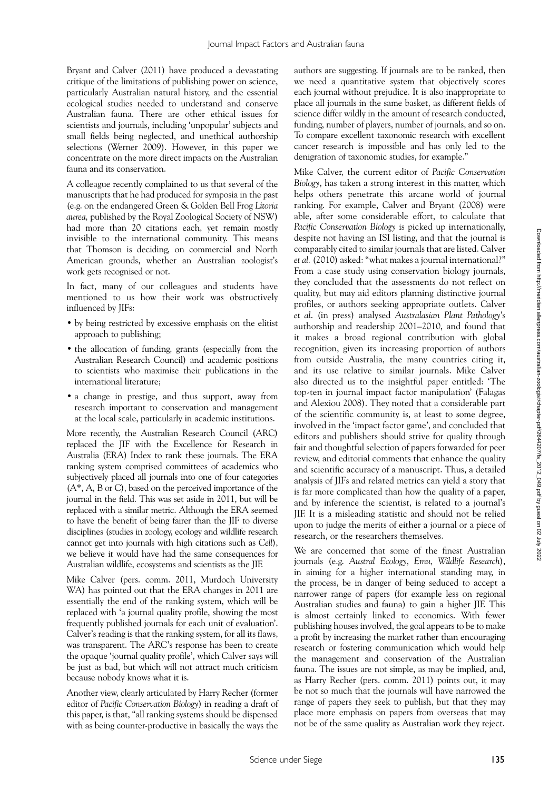Bryant and Calver (2011) have produced a devastating critique of the limitations of publishing power on science, particularly Australian natural history, and the essential ecological studies needed to understand and conserve Australian fauna. There are other ethical issues for scientists and journals, including 'unpopular' subjects and small fields being neglected, and unethical authorship selections (Werner 2009). However, in this paper we concentrate on the more direct impacts on the Australian fauna and its conservation.

A colleague recently complained to us that several of the manuscripts that he had produced for symposia in the past (e.g. on the endangered Green & Golden Bell Frog *Litoria aurea,* published by the Royal Zoological Society of NSW) had more than 20 citations each, yet remain mostly invisible to the international community. This means that Thomson is deciding, on commercial and North American grounds, whether an Australian zoologist's work gets recognised or not.

In fact, many of our colleagues and students have mentioned to us how their work was obstructively influenced by JIFs:

- • by being restricted by excessive emphasis on the elitist approach to publishing;
- the allocation of funding, grants (especially from the Australian Research Council) and academic positions to scientists who maximise their publications in the international literature;
- a change in prestige, and thus support, away from research important to conservation and management at the local scale, particularly in academic institutions.

More recently, the Australian Research Council (ARC) replaced the JIF with the Excellence for Research in Australia (ERA) Index to rank these journals. The ERA ranking system comprised committees of academics who subjectively placed all journals into one of four categories (A\*, A, B or C), based on the perceived importance of the journal in the field. This was set aside in 2011, but will be replaced with a similar metric. Although the ERA seemed to have the benefit of being fairer than the JIF to diverse disciplines (studies in zoology, ecology and wildlife research cannot get into journals with high citations such as *Cell*), we believe it would have had the same consequences for Australian wildlife, ecosystems and scientists as the JIF.

Mike Calver (pers. comm. 2011, Murdoch University WA) has pointed out that the ERA changes in 2011 are essentially the end of the ranking system, which will be replaced with 'a journal quality profile, showing the most frequently published journals for each unit of evaluation'. Calver's reading is that the ranking system, for all its flaws, was transparent. The ARC's response has been to create the opaque 'journal quality profile', which Calver says will be just as bad, but which will not attract much criticism because nobody knows what it is.

Another view, clearly articulated by Harry Recher (former editor of *Pacific Conservation Biology*) in reading a draft of this paper, is that, "all ranking systems should be dispensed with as being counter-productive in basically the ways the

authors are suggesting. If journals are to be ranked, then we need a quantitative system that objectively scores each journal without prejudice. It is also inappropriate to place all journals in the same basket, as different fields of science differ wildly in the amount of research conducted, funding, number of players, number of journals, and so on. To compare excellent taxonomic research with excellent cancer research is impossible and has only led to the denigration of taxonomic studies, for example."

Mike Calver, the current editor of *Pacific Conservation Biology*, has taken a strong interest in this matter, which helps others penetrate this arcane world of journal ranking. For example, Calver and Bryant (2008) were able, after some considerable effort, to calculate that *Pacific Conservation Biology* is picked up internationally, despite not having an ISI listing, and that the journal is comparably cited to similar journals that are listed. Calver *et al.* (2010) asked: "what makes a journal international?" From a case study using conservation biology journals, they concluded that the assessments do not reflect on quality, but may aid editors planning distinctive journal profiles, or authors seeking appropriate outlets. Calver *et al*. (in press) analysed *Australasian Plant Pathology*'s authorship and readership 2001–2010, and found that it makes a broad regional contribution with global recognition, given its increasing proportion of authors from outside Australia, the many countries citing it, and its use relative to similar journals. Mike Calver also directed us to the insightful paper entitled: 'The top-ten in journal impact factor manipulation' (Falagas and Alexiou 2008). They noted that a considerable part of the scientific community is, at least to some degree, involved in the 'impact factor game', and concluded that editors and publishers should strive for quality through fair and thoughtful selection of papers forwarded for peer review, and editorial comments that enhance the quality and scientific accuracy of a manuscript. Thus, a detailed analysis of JIFs and related metrics can yield a story that is far more complicated than how the quality of a paper, and by inference the scientist, is related to a journal's JIF. It is a misleading statistic and should not be relied upon to judge the merits of either a journal or a piece of research, or the researchers themselves.

We are concerned that some of the finest Australian journals (e.g. *Austral Ecology*, *Emu, Wildlife Research*), in aiming for a higher international standing may, in the process, be in danger of being seduced to accept a narrower range of papers (for example less on regional Australian studies and fauna) to gain a higher JIF. This is almost certainly linked to economics. With fewer publishing houses involved, the goal appears to be to make a profit by increasing the market rather than encouraging research or fostering communication which would help the management and conservation of the Australian fauna. The issues are not simple, as may be implied, and, as Harry Recher (pers. comm. 2011) points out, it may be not so much that the journals will have narrowed the range of papers they seek to publish, but that they may place more emphasis on papers from overseas that may not be of the same quality as Australian work they reject.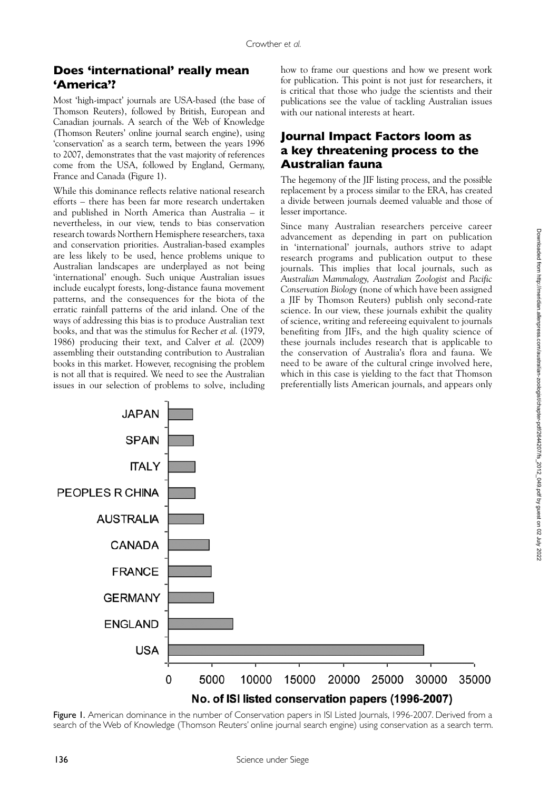## **Does 'international' really mean 'America'?**

Most 'high-impact' journals are USA-based (the base of Thomson Reuters), followed by British, European and Canadian journals. A search of the Web of Knowledge (Thomson Reuters' online journal search engine), using 'conservation' as a search term, between the years 1996 to 2007, demonstrates that the vast majority of references come from the USA, followed by England, Germany, France and Canada (Figure 1).

While this dominance reflects relative national research efforts – there has been far more research undertaken and published in North America than Australia – it nevertheless, in our view, tends to bias conservation research towards Northern Hemisphere researchers, taxa and conservation priorities. Australian-based examples are less likely to be used, hence problems unique to Australian landscapes are underplayed as not being 'international' enough. Such unique Australian issues include eucalypt forests, long-distance fauna movement patterns, and the consequences for the biota of the erratic rainfall patterns of the arid inland. One of the ways of addressing this bias is to produce Australian text books, and that was the stimulus for Recher *et al.* (1979, 1986) producing their text, and Calver *et al.* (2009) assembling their outstanding contribution to Australian books in this market. However, recognising the problem is not all that is required. We need to see the Australian issues in our selection of problems to solve, including

how to frame our questions and how we present work for publication. This point is not just for researchers, it is critical that those who judge the scientists and their publications see the value of tackling Australian issues with our national interests at heart.

# **Journal Impact Factors loom as a key threatening process to the Australian fauna**

The hegemony of the JIF listing process, and the possible replacement by a process similar to the ERA, has created a divide between journals deemed valuable and those of lesser importance.

Since many Australian researchers perceive career advancement as depending in part on publication in 'international' journals, authors strive to adapt research programs and publication output to these journals. This implies that local journals, such as *Australian Mammalogy, Australian Zoologist* and *Pacific Conservation Biology* (none of which have been assigned a JIF by Thomson Reuters) publish only second-rate science. In our view, these journals exhibit the quality of science, writing and refereeing equivalent to journals benefiting from JIFs, and the high quality science of these journals includes research that is applicable to the conservation of Australia's flora and fauna. We need to be aware of the cultural cringe involved here, which in this case is yielding to the fact that Thomson preferentially lists American journals, and appears only



Figure I. American dominance in the number of Conservation papers in ISI Listed Journals, 1996-2007. Derived from a search of the Web of Knowledge (Thomson Reuters' online journal search engine) using conservation as a search term.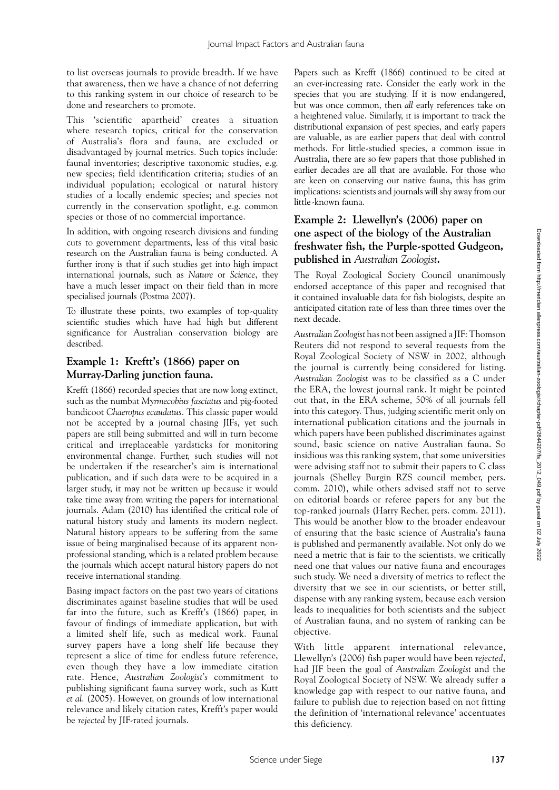to list overseas journals to provide breadth. If we have that awareness, then we have a chance of not deferring to this ranking system in our choice of research to be done and researchers to promote.

This 'scientific apartheid' creates a situation where research topics, critical for the conservation of Australia's flora and fauna, are excluded or disadvantaged by journal metrics. Such topics include: faunal inventories; descriptive taxonomic studies, e.g. new species; field identification criteria; studies of an individual population; ecological or natural history studies of a locally endemic species; and species not currently in the conservation spotlight, e.g. common species or those of no commercial importance.

In addition, with ongoing research divisions and funding cuts to government departments, less of this vital basic research on the Australian fauna is being conducted. A further irony is that if such studies get into high impact international journals, such as *Nature* or *Science*, they have a much lesser impact on their field than in more specialised journals (Postma 2007).

To illustrate these points, two examples of top-quality scientific studies which have had high but different significance for Australian conservation biology are described.

#### **Example 1: Kreftt's (1866) paper on Murray-Darling junction fauna.**

Krefft (1866) recorded species that are now long extinct, such as the numbat *Myrmecobius fasciatus* and pig-footed bandicoot *Chaeropus ecaudatus*. This classic paper would not be accepted by a journal chasing JIFs, yet such papers are still being submitted and will in turn become critical and irreplaceable yardsticks for monitoring environmental change. Further, such studies will not be undertaken if the researcher's aim is international publication, and if such data were to be acquired in a larger study, it may not be written up because it would take time away from writing the papers for international journals. Adam (2010) has identified the critical role of natural history study and laments its modern neglect. Natural history appears to be suffering from the same issue of being marginalised because of its apparent nonprofessional standing, which is a related problem because the journals which accept natural history papers do not receive international standing.

Basing impact factors on the past two years of citations discriminates against baseline studies that will be used far into the future, such as Krefft's (1866) paper, in favour of findings of immediate application, but with a limited shelf life, such as medical work. Faunal survey papers have a long shelf life because they represent a slice of time for endless future reference, even though they have a low immediate citation rate. Hence, *Australian Zoologist's* commitment to publishing significant fauna survey work, such as Kutt *et al.* (2005). However, on grounds of low international relevance and likely citation rates, Krefft's paper would be *rejected* by JIF-rated journals.

Papers such as Krefft (1866) continued to be cited at an ever-increasing rate. Consider the early work in the species that you are studying. If it is now endangered, but was once common, then *all* early references take on a heightened value. Similarly, it is important to track the distributional expansion of pest species, and early papers are valuable, as are earlier papers that deal with control methods. For little-studied species, a common issue in Australia, there are so few papers that those published in earlier decades are all that are available. For those who are keen on conserving our native fauna, this has grim implications: scientists and journals will shy away from our little-known fauna.

#### **Example 2: Llewellyn's (2006) paper on one aspect of the biology of the Australian freshwater fish, the Purple-spotted Gudgeon, published in** *Australian Zoologist***.**

The Royal Zoological Society Council unanimously endorsed acceptance of this paper and recognised that it contained invaluable data for fish biologists, despite an anticipated citation rate of less than three times over the next decade.

*Australian Zoologist* has not been assigned a JIF: Thomson Reuters did not respond to several requests from the Royal Zoological Society of NSW in 2002, although the journal is currently being considered for listing. *Australian Zoologist* was to be classified as a C under the ERA, the lowest journal rank. It might be pointed out that, in the ERA scheme, 50% of all journals fell into this category. Thus, judging scientific merit only on international publication citations and the journals in which papers have been published discriminates against sound, basic science on native Australian fauna. So insidious was this ranking system, that some universities were advising staff not to submit their papers to C class journals (Shelley Burgin RZS council member, pers. comm. 2010), while others advised staff not to serve on editorial boards or referee papers for any but the top-ranked journals (Harry Recher, pers. comm. 2011). This would be another blow to the broader endeavour of ensuring that the basic science of Australia's fauna is published and permanently available. Not only do we need a metric that is fair to the scientists, we critically need one that values our native fauna and encourages such study. We need a diversity of metrics to reflect the diversity that we see in our scientists, or better still, dispense with any ranking system, because each version leads to inequalities for both scientists and the subject of Australian fauna, and no system of ranking can be objective.

With little apparent international relevance, Llewellyn's (2006) fish paper would have been *rejected*, had JIF been the goal of *Australian Zoologist* and the Royal Zoological Society of NSW. We already suffer a knowledge gap with respect to our native fauna, and failure to publish due to rejection based on not fitting the definition of 'international relevance' accentuates this deficiency.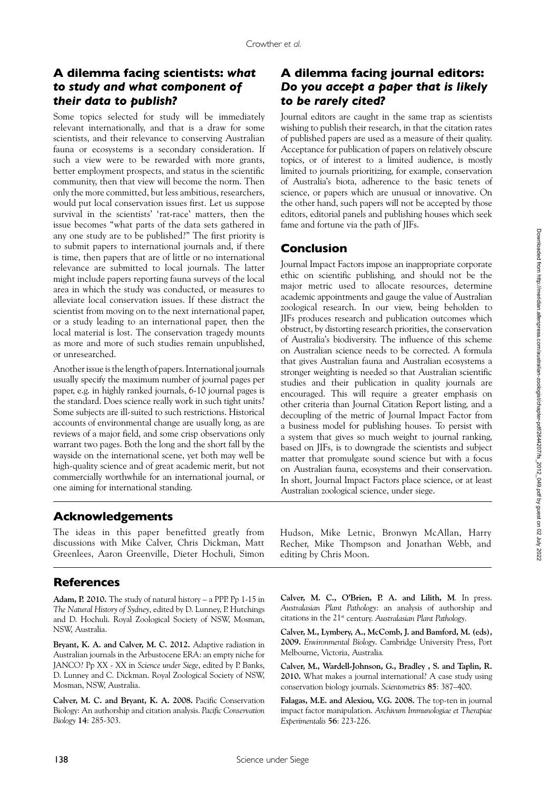# **A dilemma facing scientists:** *what to study and what component of their data to publish?*

Some topics selected for study will be immediately relevant internationally, and that is a draw for some scientists, and their relevance to conserving Australian fauna or ecosystems is a secondary consideration. If such a view were to be rewarded with more grants, better employment prospects, and status in the scientific community, then that view will become the norm. Then only the more committed, but less ambitious, researchers, would put local conservation issues first. Let us suppose survival in the scientists' 'rat-race' matters, then the issue becomes "what parts of the data sets gathered in any one study are to be published?" The first priority is to submit papers to international journals and, if there is time, then papers that are of little or no international relevance are submitted to local journals. The latter might include papers reporting fauna surveys of the local area in which the study was conducted, or measures to alleviate local conservation issues. If these distract the scientist from moving on to the next international paper, or a study leading to an international paper, then the local material is lost. The conservation tragedy mounts as more and more of such studies remain unpublished, or unresearched.

Another issue is the length of papers. International journals usually specify the maximum number of journal pages per paper, e.g. in highly ranked journals, 6-10 journal pages is the standard. Does science really work in such tight units? Some subjects are ill-suited to such restrictions. Historical accounts of environmental change are usually long, as are reviews of a major field, and some crisp observations only warrant two pages. Both the long and the short fall by the wayside on the international scene, yet both may well be high-quality science and of great academic merit, but not commercially worthwhile for an international journal, or one aiming for international standing.

# **A dilemma facing journal editors:**  *Do you accept a paper that is likely to be rarely cited?*

Journal editors are caught in the same trap as scientists wishing to publish their research, in that the citation rates of published papers are used as a measure of their quality. Acceptance for publication of papers on relatively obscure topics, or of interest to a limited audience, is mostly limited to journals prioritizing, for example, conservation of Australia's biota, adherence to the basic tenets of science, or papers which are unusual or innovative. On the other hand, such papers will not be accepted by those editors, editorial panels and publishing houses which seek fame and fortune via the path of JIFs.

### **Conclusion**

Journal Impact Factors impose an inappropriate corporate ethic on scientific publishing, and should not be the major metric used to allocate resources, determine academic appointments and gauge the value of Australian zoological research. In our view, being beholden to JIFs produces research and publication outcomes which obstruct, by distorting research priorities, the conservation of Australia's biodiversity. The influence of this scheme on Australian science needs to be corrected. A formula that gives Australian fauna and Australian ecosystems a stronger weighting is needed so that Australian scientific studies and their publication in quality journals are encouraged. This will require a greater emphasis on other criteria than Journal Citation Report listing, and a decoupling of the metric of Journal Impact Factor from a business model for publishing houses. To persist with a system that gives so much weight to journal ranking, based on JIFs, is to downgrade the scientists and subject matter that promulgate sound science but with a focus on Australian fauna, ecosystems and their conservation. In short, Journal Impact Factors place science, or at least Australian zoological science, under siege.

## **Acknowledgements**

The ideas in this paper benefitted greatly from discussions with Mike Calver, Chris Dickman, Matt Greenlees, Aaron Greenville, Dieter Hochuli, Simon

# **References**

**Adam, P. 2010.** The study of natural history – a PPP. Pp 1-15 in *The Natural History of Sydney*, edited by D. Lunney, P. Hutchings and D. Hochuli. Royal Zoological Society of NSW, Mosman, NSW, Australia.

**Bryant, K. A. and Calver, M. C. 2012.** Adaptive radiation in Australian journals in the Arbustocene ERA: an empty niche for JANCO? Pp XX - XX in *Science under Siege*, edited by P. Banks, D. Lunney and C. Dickman. Royal Zoological Society of NSW, Mosman, NSW, Australia.

**Calver, M. C. and Bryant, K. A. 2008.** Pacific Conservation Biology: An authorship and citation analysis. *Pacific Conservation Biology* **14**: 285-303.

Hudson, Mike Letnic, Bronwyn McAllan, Harry Recher, Mike Thompson and Jonathan Webb, and editing by Chris Moon.

**Calver, M. C., O'Brien, P. A. and Lilith, M***.* In press. *Australasian Plant Pathology*: an analysis of authorship and citations in the 21st century. *Australasian Plant Pathology*.

**Calver, M., Lymbery, A., McComb, J. and Bamford, M. (eds), 2009.** *Environmental Biology*. Cambridge University Press, Port Melbourne, Victoria, Australia*.*

**Calver, M., Wardell-Johnson, G., Bradley , S. and Taplin, R. 2010.** What makes a journal international? A case study using conservation biology journals. *Scientometrics* **85**: 387–400.

**Falagas, M.E. and Alexiou, V.G. 2008.** The top-ten in journal impact factor manipulation. *Archivum Immunologiae et Therapiae Experimentalis* **56**: 223-226.